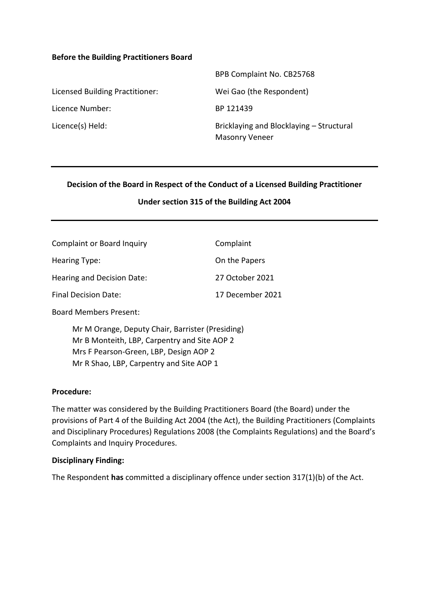#### **Before the Building Practitioners Board**

|                                 | BPB Complaint No. CB25768                                         |
|---------------------------------|-------------------------------------------------------------------|
| Licensed Building Practitioner: | Wei Gao (the Respondent)                                          |
| Licence Number:                 | BP 121439                                                         |
| Licence(s) Held:                | Bricklaying and Blocklaying - Structural<br><b>Masonry Veneer</b> |

#### **Decision of the Board in Respect of the Conduct of a Licensed Building Practitioner**

#### **Under section 315 of the Building Act 2004**

| <b>Complaint or Board Inquiry</b> | Complaint        |
|-----------------------------------|------------------|
| Hearing Type:                     | On the Papers    |
| Hearing and Decision Date:        | 27 October 2021  |
| <b>Final Decision Date:</b>       | 17 December 2021 |

Board Members Present:

Mr M Orange, Deputy Chair, Barrister (Presiding) Mr B Monteith, LBP, Carpentry and Site AOP 2 Mrs F Pearson-Green, LBP, Design AOP 2 Mr R Shao, LBP, Carpentry and Site AOP 1

#### **Procedure:**

The matter was considered by the Building Practitioners Board (the Board) under the provisions of Part 4 of the Building Act 2004 (the Act), the Building Practitioners (Complaints and Disciplinary Procedures) Regulations 2008 (the Complaints Regulations) and the Board's Complaints and Inquiry Procedures.

#### **Disciplinary Finding:**

The Respondent **has** committed a disciplinary offence under section 317(1)(b) of the Act.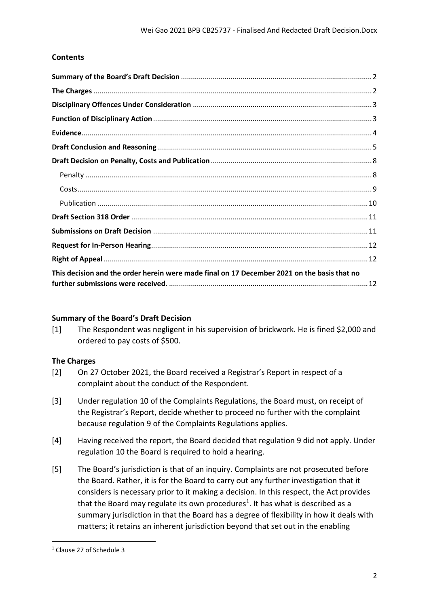# **Contents**

| This decision and the order herein were made final on 17 December 2021 on the basis that no |  |
|---------------------------------------------------------------------------------------------|--|

## <span id="page-1-0"></span>**Summary of the Board's Draft Decision**

[1] The Respondent was negligent in his supervision of brickwork. He is fined \$2,000 and ordered to pay costs of \$500.

## <span id="page-1-1"></span>**The Charges**

- [2] On 27 October 2021, the Board received a Registrar's Report in respect of a complaint about the conduct of the Respondent.
- [3] Under regulation 10 of the Complaints Regulations, the Board must, on receipt of the Registrar's Report, decide whether to proceed no further with the complaint because regulation 9 of the Complaints Regulations applies.
- [4] Having received the report, the Board decided that regulation 9 did not apply. Under regulation 10 the Board is required to hold a hearing.
- [5] The Board's jurisdiction is that of an inquiry. Complaints are not prosecuted before the Board. Rather, it is for the Board to carry out any further investigation that it considers is necessary prior to it making a decision. In this respect, the Act provides that the Board may regulate its own procedures<sup>1</sup>. It has what is described as a summary jurisdiction in that the Board has a degree of flexibility in how it deals with matters; it retains an inherent jurisdiction beyond that set out in the enabling

<sup>1</sup> Clause 27 of Schedule 3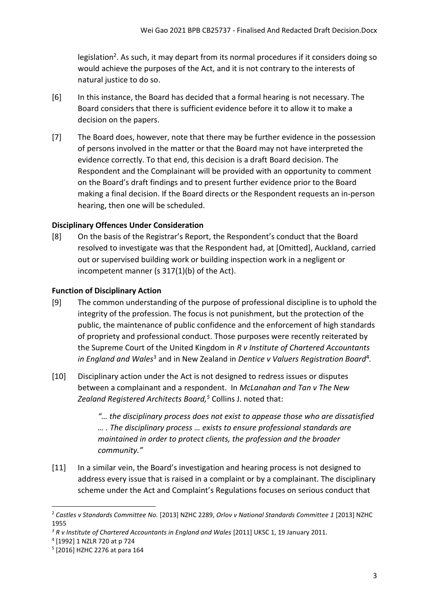legislation<sup>2</sup>. As such, it may depart from its normal procedures if it considers doing so would achieve the purposes of the Act, and it is not contrary to the interests of natural justice to do so.

- [6] In this instance, the Board has decided that a formal hearing is not necessary. The Board considers that there is sufficient evidence before it to allow it to make a decision on the papers.
- [7] The Board does, however, note that there may be further evidence in the possession of persons involved in the matter or that the Board may not have interpreted the evidence correctly. To that end, this decision is a draft Board decision. The Respondent and the Complainant will be provided with an opportunity to comment on the Board's draft findings and to present further evidence prior to the Board making a final decision. If the Board directs or the Respondent requests an in-person hearing, then one will be scheduled.

## <span id="page-2-0"></span>**Disciplinary Offences Under Consideration**

[8] On the basis of the Registrar's Report, the Respondent's conduct that the Board resolved to investigate was that the Respondent had, at [Omitted], Auckland, carried out or supervised building work or building inspection work in a negligent or incompetent manner (s 317(1)(b) of the Act).

### <span id="page-2-1"></span>**Function of Disciplinary Action**

- [9] The common understanding of the purpose of professional discipline is to uphold the integrity of the profession. The focus is not punishment, but the protection of the public, the maintenance of public confidence and the enforcement of high standards of propriety and professional conduct. Those purposes were recently reiterated by the Supreme Court of the United Kingdom in *R v Institute of Chartered Accountants*  in England and Wales<sup>3</sup> and in New Zealand in Dentice v Valuers Registration Board<sup>4</sup>.
- [10] Disciplinary action under the Act is not designed to redress issues or disputes between a complainant and a respondent. In *McLanahan and Tan v The New Zealand Registered Architects Board, <sup>5</sup>* Collins J. noted that:

*"… the disciplinary process does not exist to appease those who are dissatisfied … . The disciplinary process … exists to ensure professional standards are maintained in order to protect clients, the profession and the broader community."*

[11] In a similar vein, the Board's investigation and hearing process is not designed to address every issue that is raised in a complaint or by a complainant. The disciplinary scheme under the Act and Complaint's Regulations focuses on serious conduct that

<sup>2</sup> *Castles v Standards Committee No.* [2013] NZHC 2289, *Orlov v National Standards Committee 1* [2013] NZHC 1955

<sup>&</sup>lt;sup>3</sup> R v Institute of Chartered Accountants in England and Wales [2011] UKSC 1, 19 January 2011.

<sup>4</sup> [1992] 1 NZLR 720 at p 724

<sup>5</sup> [2016] HZHC 2276 at para 164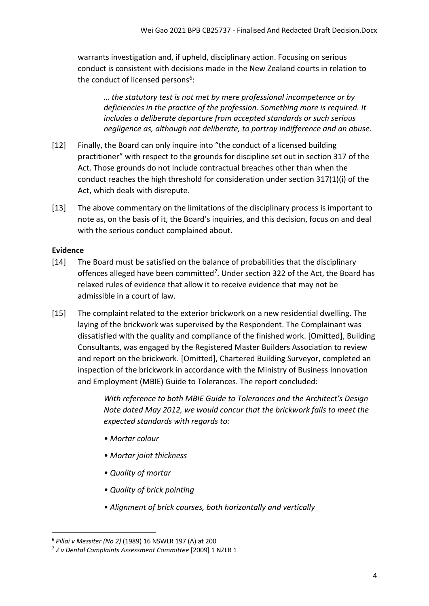warrants investigation and, if upheld, disciplinary action. Focusing on serious conduct is consistent with decisions made in the New Zealand courts in relation to the conduct of licensed persons<sup>6</sup>:

*… the statutory test is not met by mere professional incompetence or by deficiencies in the practice of the profession. Something more is required. It includes a deliberate departure from accepted standards or such serious negligence as, although not deliberate, to portray indifference and an abuse.*

- [12] Finally, the Board can only inquire into "the conduct of a licensed building practitioner" with respect to the grounds for discipline set out in section 317 of the Act. Those grounds do not include contractual breaches other than when the conduct reaches the high threshold for consideration under section 317(1)(i) of the Act, which deals with disrepute.
- [13] The above commentary on the limitations of the disciplinary process is important to note as, on the basis of it, the Board's inquiries, and this decision, focus on and deal with the serious conduct complained about.

### <span id="page-3-0"></span>**Evidence**

- [14] The Board must be satisfied on the balance of probabilities that the disciplinary offences alleged have been committed*<sup>7</sup>* . Under section 322 of the Act, the Board has relaxed rules of evidence that allow it to receive evidence that may not be admissible in a court of law.
- [15] The complaint related to the exterior brickwork on a new residential dwelling. The laying of the brickwork was supervised by the Respondent. The Complainant was dissatisfied with the quality and compliance of the finished work. [Omitted], Building Consultants, was engaged by the Registered Master Builders Association to review and report on the brickwork. [Omitted], Chartered Building Surveyor, completed an inspection of the brickwork in accordance with the Ministry of Business Innovation and Employment (MBIE) Guide to Tolerances. The report concluded:

*With reference to both MBIE Guide to Tolerances and the Architect's Design Note dated May 2012, we would concur that the brickwork fails to meet the expected standards with regards to:*

- *Mortar colour*
- *Mortar joint thickness*
- *Quality of mortar*
- *Quality of brick pointing*
- *Alignment of brick courses, both horizontally and vertically*

<sup>6</sup> *Pillai v Messiter (No 2)* (1989) 16 NSWLR 197 (A) at 200

<sup>7</sup> *Z v Dental Complaints Assessment Committee* [2009] 1 NZLR 1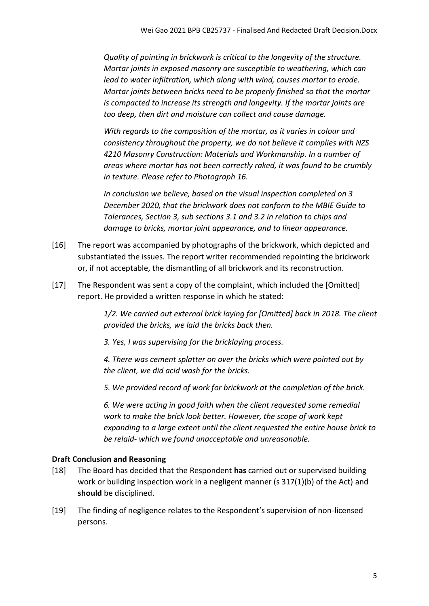*Quality of pointing in brickwork is critical to the longevity of the structure. Mortar joints in exposed masonry are susceptible to weathering, which can lead to water infiltration, which along with wind, causes mortar to erode. Mortar joints between bricks need to be properly finished so that the mortar is compacted to increase its strength and longevity. If the mortar joints are too deep, then dirt and moisture can collect and cause damage.*

*With regards to the composition of the mortar, as it varies in colour and consistency throughout the property, we do not believe it complies with NZS 4210 Masonry Construction: Materials and Workmanship. In a number of areas where mortar has not been correctly raked, it was found to be crumbly in texture. Please refer to Photograph 16.*

*In conclusion we believe, based on the visual inspection completed on 3 December 2020, that the brickwork does not conform to the MBIE Guide to Tolerances, Section 3, sub sections 3.1 and 3.2 in relation to chips and damage to bricks, mortar joint appearance, and to linear appearance.*

- [16] The report was accompanied by photographs of the brickwork, which depicted and substantiated the issues. The report writer recommended repointing the brickwork or, if not acceptable, the dismantling of all brickwork and its reconstruction.
- [17] The Respondent was sent a copy of the complaint, which included the [Omitted] report. He provided a written response in which he stated:

*1/2. We carried out external brick laying for [Omitted] back in 2018. The client provided the bricks, we laid the bricks back then.*

*3. Yes, I was supervising for the bricklaying process.*

*4. There was cement splatter on over the bricks which were pointed out by the client, we did acid wash for the bricks.*

*5. We provided record of work for brickwork at the completion of the brick.*

*6. We were acting in good faith when the client requested some remedial work to make the brick look better. However, the scope of work kept expanding to a large extent until the client requested the entire house brick to be relaid- which we found unacceptable and unreasonable.*

## <span id="page-4-0"></span>**Draft Conclusion and Reasoning**

- [18] The Board has decided that the Respondent **has** carried out or supervised building work or building inspection work in a negligent manner (s 317(1)(b) of the Act) and **should** be disciplined.
- [19] The finding of negligence relates to the Respondent's supervision of non-licensed persons.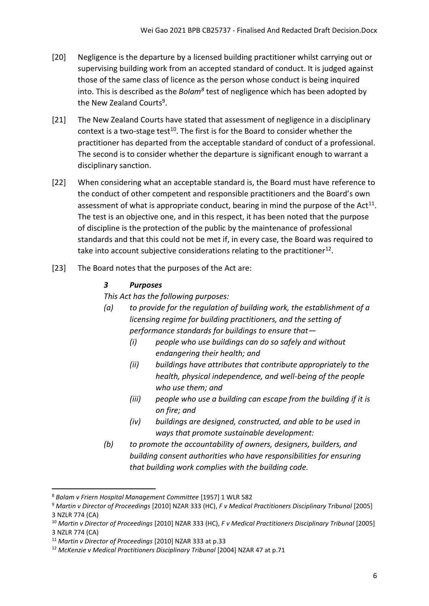- [20] Negligence is the departure by a licensed building practitioner whilst carrying out or supervising building work from an accepted standard of conduct. It is judged against those of the same class of licence as the person whose conduct is being inquired into. This is described as the *Bolam<sup>8</sup>* test of negligence which has been adopted by the New Zealand Courts<sup>9</sup>.
- [21] The New Zealand Courts have stated that assessment of negligence in a disciplinary context is a two-stage test<sup>10</sup>. The first is for the Board to consider whether the practitioner has departed from the acceptable standard of conduct of a professional. The second is to consider whether the departure is significant enough to warrant a disciplinary sanction.
- [22] When considering what an acceptable standard is, the Board must have reference to the conduct of other competent and responsible practitioners and the Board's own assessment of what is appropriate conduct, bearing in mind the purpose of the Act<sup>11</sup>. The test is an objective one, and in this respect, it has been noted that the purpose of discipline is the protection of the public by the maintenance of professional standards and that this could not be met if, in every case, the Board was required to take into account subjective considerations relating to the practitioner<sup>12</sup>.
- [23] The Board notes that the purposes of the Act are:

## *3 Purposes*

*This Act has the following purposes:*

- *(a) to provide for the regulation of building work, the establishment of a licensing regime for building practitioners, and the setting of performance standards for buildings to ensure that—*
	- *(i) people who use buildings can do so safely and without endangering their health; and*
	- *(ii) buildings have attributes that contribute appropriately to the health, physical independence, and well-being of the people who use them; and*
	- *(iii) people who use a building can escape from the building if it is on fire; and*
	- *(iv) buildings are designed, constructed, and able to be used in ways that promote sustainable development:*
- *(b) to promote the accountability of owners, designers, builders, and building consent authorities who have responsibilities for ensuring that building work complies with the building code.*

<sup>8</sup> *Bolam v Friern Hospital Management Committee* [1957] 1 WLR 582

<sup>9</sup> *Martin v Director of Proceedings* [2010] NZAR 333 (HC), *F v Medical Practitioners Disciplinary Tribunal* [2005] 3 NZLR 774 (CA)

<sup>10</sup> *Martin v Director of Proceedings* [2010] NZAR 333 (HC), *F v Medical Practitioners Disciplinary Tribunal* [2005] 3 NZLR 774 (CA)

<sup>11</sup> *Martin v Director of Proceedings* [2010] NZAR 333 at p.33

<sup>12</sup> *McKenzie v Medical Practitioners Disciplinary Tribunal* [2004] NZAR 47 at p.71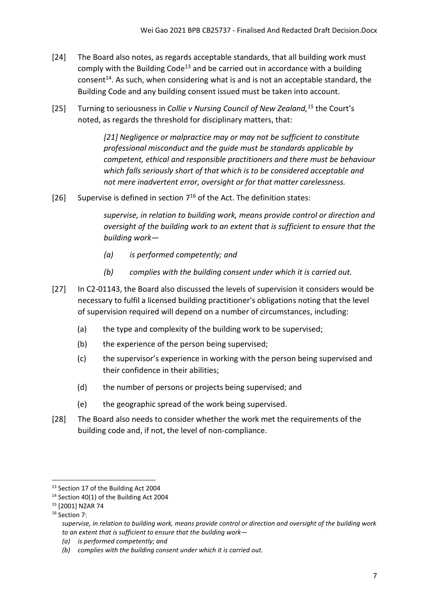- [24] The Board also notes, as regards acceptable standards, that all building work must comply with the Building Code<sup>13</sup> and be carried out in accordance with a building consent<sup>14</sup>. As such, when considering what is and is not an acceptable standard, the Building Code and any building consent issued must be taken into account.
- [25] Turning to seriousness in *Collie v Nursing Council of New Zealand, <sup>15</sup>* the Court's noted, as regards the threshold for disciplinary matters, that:

*[21] Negligence or malpractice may or may not be sufficient to constitute professional misconduct and the guide must be standards applicable by competent, ethical and responsible practitioners and there must be behaviour which falls seriously short of that which is to be considered acceptable and not mere inadvertent error, oversight or for that matter carelessness.*

[26] Supervise is defined in section  $7^{16}$  of the Act. The definition states:

*supervise, in relation to building work, means provide control or direction and oversight of the building work to an extent that is sufficient to ensure that the building work—*

- *(a) is performed competently; and*
- *(b) complies with the building consent under which it is carried out.*
- [27] In C2-01143, the Board also discussed the levels of supervision it considers would be necessary to fulfil a licensed building practitioner's obligations noting that the level of supervision required will depend on a number of circumstances, including:
	- (a) the type and complexity of the building work to be supervised;
	- (b) the experience of the person being supervised;
	- (c) the supervisor's experience in working with the person being supervised and their confidence in their abilities;
	- (d) the number of persons or projects being supervised; and
	- (e) the geographic spread of the work being supervised.
- [28] The Board also needs to consider whether the work met the requirements of the building code and, if not, the level of non-compliance.

- <sup>15</sup> [2001] NZAR 74
- <sup>16</sup> Section 7:

*supervise, in relation to building work, means provide control or direction and oversight of the building work to an extent that is sufficient to ensure that the building work—*

<sup>&</sup>lt;sup>13</sup> Section 17 of the Building Act 2004

 $14$  Section 40(1) of the Building Act 2004

*<sup>(</sup>a) is performed competently; and*

*<sup>(</sup>b) complies with the building consent under which it is carried out.*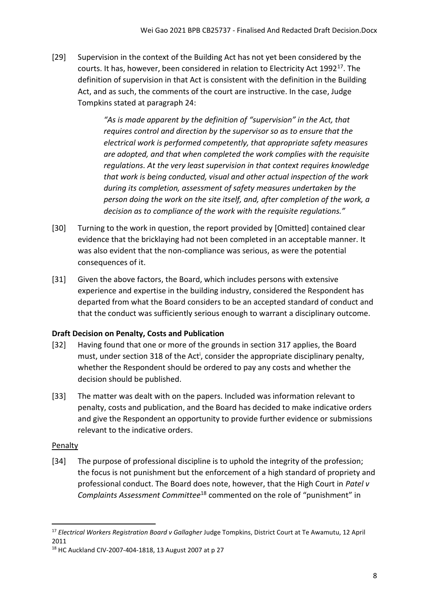[29] Supervision in the context of the Building Act has not yet been considered by the courts. It has, however, been considered in relation to Electricity Act 1992<sup>17</sup>. The definition of supervision in that Act is consistent with the definition in the Building Act, and as such, the comments of the court are instructive. In the case, Judge Tompkins stated at paragraph 24:

> *"As is made apparent by the definition of "supervision" in the Act, that requires control and direction by the supervisor so as to ensure that the electrical work is performed competently, that appropriate safety measures are adopted, and that when completed the work complies with the requisite regulations. At the very least supervision in that context requires knowledge that work is being conducted, visual and other actual inspection of the work during its completion, assessment of safety measures undertaken by the person doing the work on the site itself, and, after completion of the work, a decision as to compliance of the work with the requisite regulations."*

- [30] Turning to the work in question, the report provided by [Omitted] contained clear evidence that the bricklaying had not been completed in an acceptable manner. It was also evident that the non-compliance was serious, as were the potential consequences of it.
- [31] Given the above factors, the Board, which includes persons with extensive experience and expertise in the building industry, considered the Respondent has departed from what the Board considers to be an accepted standard of conduct and that the conduct was sufficiently serious enough to warrant a disciplinary outcome.

## <span id="page-7-0"></span>**Draft Decision on Penalty, Costs and Publication**

- [32] Having found that one or more of the grounds in section 317 applies, the Board must, under section 318 of the Act<sup>i</sup>, consider the appropriate disciplinary penalty, whether the Respondent should be ordered to pay any costs and whether the decision should be published.
- [33] The matter was dealt with on the papers. Included was information relevant to penalty, costs and publication, and the Board has decided to make indicative orders and give the Respondent an opportunity to provide further evidence or submissions relevant to the indicative orders.

## <span id="page-7-1"></span>Penalty

[34] The purpose of professional discipline is to uphold the integrity of the profession; the focus is not punishment but the enforcement of a high standard of propriety and professional conduct. The Board does note, however, that the High Court in *Patel v Complaints Assessment Committee*<sup>18</sup> commented on the role of "punishment" in

<sup>17</sup> *Electrical Workers Registration Board v Gallagher* Judge Tompkins, District Court at Te Awamutu, 12 April 2011

<sup>18</sup> HC Auckland CIV-2007-404-1818, 13 August 2007 at p 27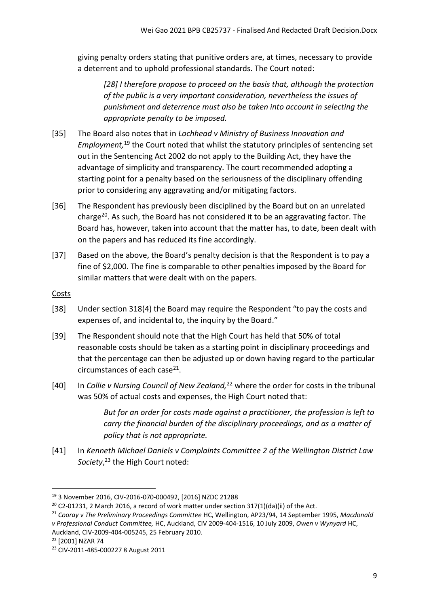giving penalty orders stating that punitive orders are, at times, necessary to provide a deterrent and to uphold professional standards. The Court noted:

*[28] I therefore propose to proceed on the basis that, although the protection of the public is a very important consideration, nevertheless the issues of punishment and deterrence must also be taken into account in selecting the appropriate penalty to be imposed.*

- [35] The Board also notes that in *Lochhead v Ministry of Business Innovation and Employment,* <sup>19</sup> the Court noted that whilst the statutory principles of sentencing set out in the Sentencing Act 2002 do not apply to the Building Act, they have the advantage of simplicity and transparency. The court recommended adopting a starting point for a penalty based on the seriousness of the disciplinary offending prior to considering any aggravating and/or mitigating factors.
- [36] The Respondent has previously been disciplined by the Board but on an unrelated charge<sup>20</sup>. As such, the Board has not considered it to be an aggravating factor. The Board has, however, taken into account that the matter has, to date, been dealt with on the papers and has reduced its fine accordingly.
- [37] Based on the above, the Board's penalty decision is that the Respondent is to pay a fine of \$2,000. The fine is comparable to other penalties imposed by the Board for similar matters that were dealt with on the papers.

<span id="page-8-0"></span>**Costs** 

- [38] Under section 318(4) the Board may require the Respondent "to pay the costs and expenses of, and incidental to, the inquiry by the Board."
- [39] The Respondent should note that the High Court has held that 50% of total reasonable costs should be taken as a starting point in disciplinary proceedings and that the percentage can then be adjusted up or down having regard to the particular circumstances of each case<sup>21</sup>.
- [40] In *Collie v Nursing Council of New Zealand,*<sup>22</sup> where the order for costs in the tribunal was 50% of actual costs and expenses, the High Court noted that:

*But for an order for costs made against a practitioner, the profession is left to carry the financial burden of the disciplinary proceedings, and as a matter of policy that is not appropriate.*

[41] In *Kenneth Michael Daniels v Complaints Committee 2 of the Wellington District Law Society*, <sup>23</sup> the High Court noted:

<sup>21</sup> *Cooray v The Preliminary Proceedings Committee* HC, Wellington, AP23/94, 14 September 1995, *Macdonald v Professional Conduct Committee,* HC, Auckland, CIV 2009-404-1516, 10 July 2009, *Owen v Wynyard* HC, Auckland, CIV-2009-404-005245, 25 February 2010.

<sup>19</sup> 3 November 2016, CIV-2016-070-000492, [2016] NZDC 21288

<sup>&</sup>lt;sup>20</sup> C2-01231, 2 March 2016, a record of work matter under section 317(1)(da)(ii) of the Act.

<sup>22</sup> [2001] NZAR 74

<sup>23</sup> CIV-2011-485-000227 8 August 2011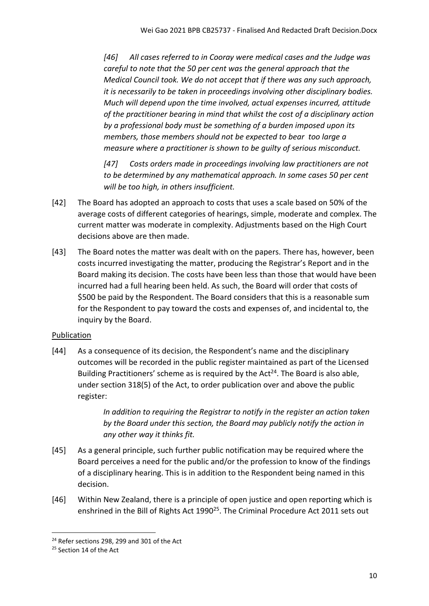*[46] All cases referred to in Cooray were medical cases and the Judge was careful to note that the 50 per cent was the general approach that the Medical Council took. We do not accept that if there was any such approach, it is necessarily to be taken in proceedings involving other disciplinary bodies. Much will depend upon the time involved, actual expenses incurred, attitude of the practitioner bearing in mind that whilst the cost of a disciplinary action by a professional body must be something of a burden imposed upon its members, those members should not be expected to bear too large a measure where a practitioner is shown to be guilty of serious misconduct.* 

*[47] Costs orders made in proceedings involving law practitioners are not to be determined by any mathematical approach. In some cases 50 per cent will be too high, in others insufficient.*

- [42] The Board has adopted an approach to costs that uses a scale based on 50% of the average costs of different categories of hearings, simple, moderate and complex. The current matter was moderate in complexity. Adjustments based on the High Court decisions above are then made.
- [43] The Board notes the matter was dealt with on the papers. There has, however, been costs incurred investigating the matter, producing the Registrar's Report and in the Board making its decision. The costs have been less than those that would have been incurred had a full hearing been held. As such, the Board will order that costs of \$500 be paid by the Respondent. The Board considers that this is a reasonable sum for the Respondent to pay toward the costs and expenses of, and incidental to, the inquiry by the Board.

# <span id="page-9-0"></span>Publication

[44] As a consequence of its decision, the Respondent's name and the disciplinary outcomes will be recorded in the public register maintained as part of the Licensed Building Practitioners' scheme as is required by the Act<sup>24</sup>. The Board is also able, under section 318(5) of the Act, to order publication over and above the public register:

> *In addition to requiring the Registrar to notify in the register an action taken by the Board under this section, the Board may publicly notify the action in any other way it thinks fit.*

- [45] As a general principle, such further public notification may be required where the Board perceives a need for the public and/or the profession to know of the findings of a disciplinary hearing. This is in addition to the Respondent being named in this decision.
- [46] Within New Zealand, there is a principle of open justice and open reporting which is enshrined in the Bill of Rights Act 1990<sup>25</sup>. The Criminal Procedure Act 2011 sets out

<sup>&</sup>lt;sup>24</sup> Refer sections 298, 299 and 301 of the Act

<sup>&</sup>lt;sup>25</sup> Section 14 of the Act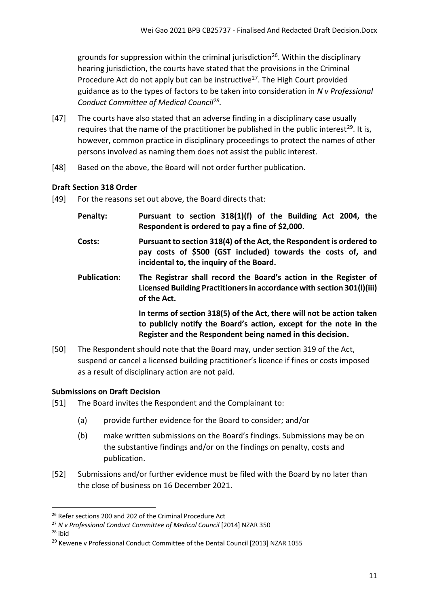grounds for suppression within the criminal jurisdiction<sup>26</sup>. Within the disciplinary hearing jurisdiction, the courts have stated that the provisions in the Criminal Procedure Act do not apply but can be instructive<sup>27</sup>. The High Court provided guidance as to the types of factors to be taken into consideration in *N v Professional Conduct Committee of Medical Council<sup>28</sup> .*

- [47] The courts have also stated that an adverse finding in a disciplinary case usually requires that the name of the practitioner be published in the public interest<sup>29</sup>. It is, however, common practice in disciplinary proceedings to protect the names of other persons involved as naming them does not assist the public interest.
- [48] Based on the above, the Board will not order further publication.

# <span id="page-10-0"></span>**Draft Section 318 Order**

- [49] For the reasons set out above, the Board directs that:
	- **Penalty: Pursuant to section 318(1)(f) of the Building Act 2004, the Respondent is ordered to pay a fine of \$2,000.**
	- **Costs: Pursuant to section 318(4) of the Act, the Respondent is ordered to pay costs of \$500 (GST included) towards the costs of, and incidental to, the inquiry of the Board.**
	- **Publication: The Registrar shall record the Board's action in the Register of Licensed Building Practitioners in accordance with section 301(l)(iii) of the Act.**

**In terms of section 318(5) of the Act, there will not be action taken to publicly notify the Board's action, except for the note in the Register and the Respondent being named in this decision.**

[50] The Respondent should note that the Board may, under section 319 of the Act, suspend or cancel a licensed building practitioner's licence if fines or costs imposed as a result of disciplinary action are not paid.

# <span id="page-10-1"></span>**Submissions on Draft Decision**

- [51] The Board invites the Respondent and the Complainant to:
	- (a) provide further evidence for the Board to consider; and/or
	- (b) make written submissions on the Board's findings. Submissions may be on the substantive findings and/or on the findings on penalty, costs and publication.
- [52] Submissions and/or further evidence must be filed with the Board by no later than the close of business on 16 December 2021.

<sup>&</sup>lt;sup>26</sup> Refer sections 200 and 202 of the Criminal Procedure Act

<sup>27</sup> *N v Professional Conduct Committee of Medical Council* [2014] NZAR 350

<sup>28</sup> ibid

<sup>&</sup>lt;sup>29</sup> Kewene v Professional Conduct Committee of the Dental Council [2013] NZAR 1055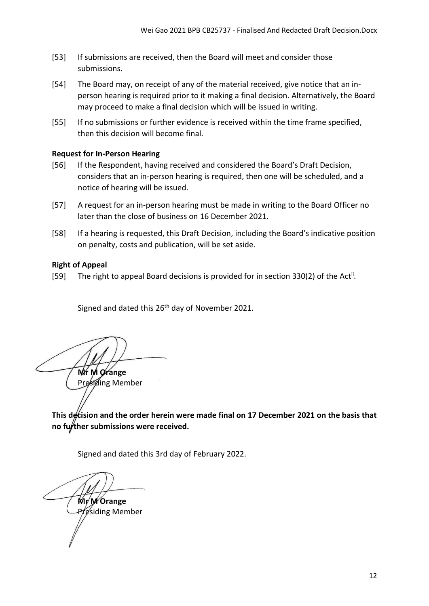- [53] If submissions are received, then the Board will meet and consider those submissions.
- [54] The Board may, on receipt of any of the material received, give notice that an inperson hearing is required prior to it making a final decision. Alternatively, the Board may proceed to make a final decision which will be issued in writing.
- [55] If no submissions or further evidence is received within the time frame specified, then this decision will become final.

### <span id="page-11-0"></span>**Request for In-Person Hearing**

- [56] If the Respondent, having received and considered the Board's Draft Decision, considers that an in-person hearing is required, then one will be scheduled, and a notice of hearing will be issued.
- [57] A request for an in-person hearing must be made in writing to the Board Officer no later than the close of business on 16 December 2021.
- [58] If a hearing is requested, this Draft Decision, including the Board's indicative position on penalty, costs and publication, will be set aside.

### <span id="page-11-1"></span>**Right of Appeal**

[59] The right to appeal Board decisions is provided for in section 330(2) of the Act<sup>ii</sup>.

Signed and dated this 26<sup>th</sup> day of November 2021.

**Mr M Orange**  Presiding Member

<span id="page-11-2"></span>This decision and the order herein were made final on 17 December 2021 on the basis that **no further submissions were received.**

Signed and dated this 3rd day of February 2022.

**Mr M Orange**  Presiding Member